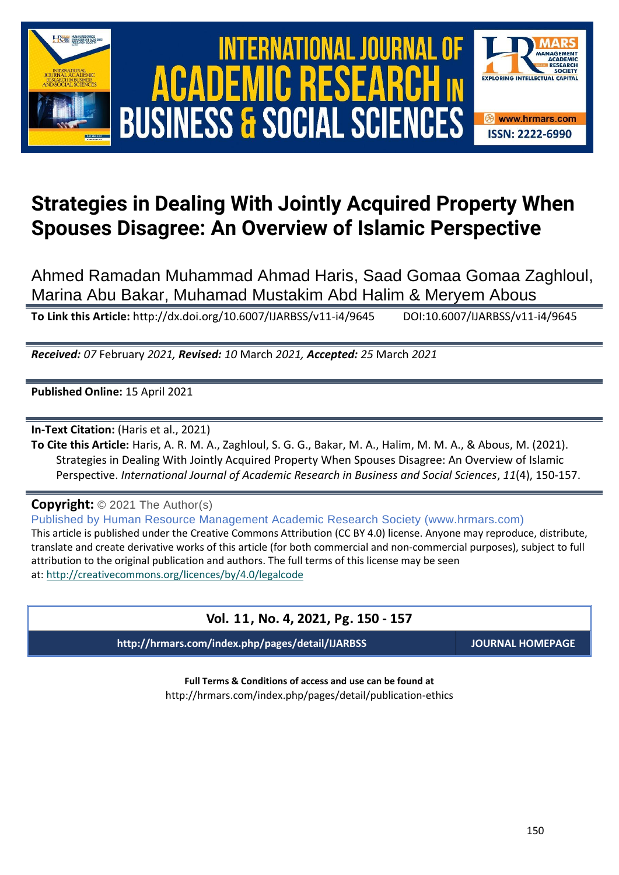





Ahmed Ramadan Muhammad Ahmad Haris, Saad Gomaa Gomaa Zaghloul, Marina Abu Bakar, Muhamad Mustakim Abd Halim & Meryem Abous

**To Link this Article:** http://dx.doi.org/10.6007/IJARBSS/v11-i4/9645 DOI:10.6007/IJARBSS/v11-i4/9645

*Received: 07* February *2021, Revised: 10* March *2021, Accepted: 25* March *2021*

**Published Online:** 15 April 2021

**In-Text Citation:** (Haris et al., 2021)

**To Cite this Article:** Haris, A. R. M. A., Zaghloul, S. G. G., Bakar, M. A., Halim, M. M. A., & Abous, M. (2021). Strategies in Dealing With Jointly Acquired Property When Spouses Disagree: An Overview of Islamic Perspective. *International Journal of Academic Research in Business and Social Sciences*, *11*(4), 150-157.

**Copyright:** © 2021 The Author(s)

Published by Human Resource Management Academic Research Society (www.hrmars.com) This article is published under the Creative Commons Attribution (CC BY 4.0) license. Anyone may reproduce, distribute, translate and create derivative works of this article (for both commercial and non-commercial purposes), subject to full attribution to the original publication and authors. The full terms of this license may be seen at: <http://creativecommons.org/licences/by/4.0/legalcode>

# **Vol. 11, No. 4, 2021, Pg. 150 - 157**

**http://hrmars.com/index.php/pages/detail/IJARBSS JOURNAL HOMEPAGE**

SOCIETY

**EXPLORING INTELLECTUAL C** 

**&** www.hrmars.com **ISSN: 2222-6990** 

**Full Terms & Conditions of access and use can be found at** http://hrmars.com/index.php/pages/detail/publication-ethics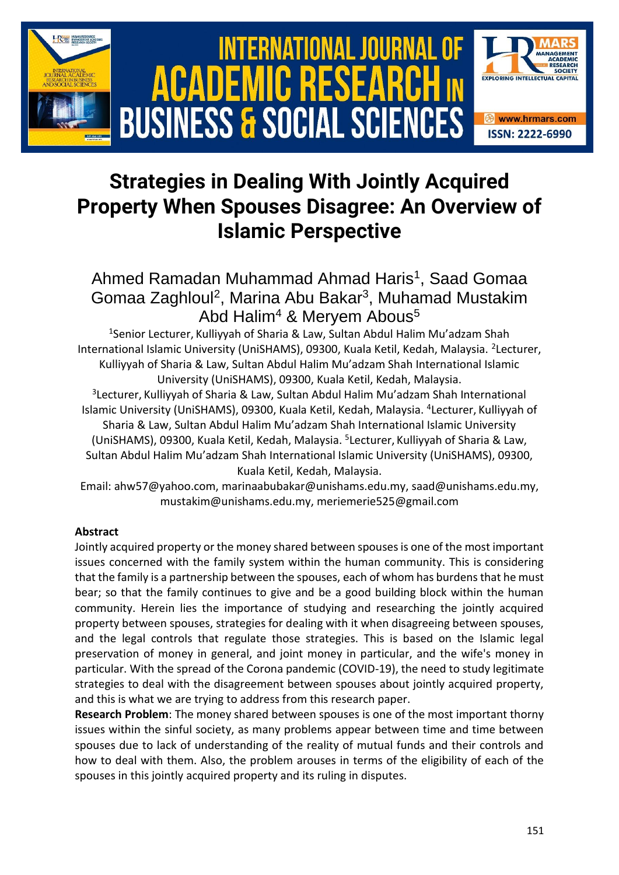

# **Strategies in Dealing With Jointly Acquired Property When Spouses Disagree: An Overview of Islamic Perspective**

# Ahmed Ramadan Muhammad Ahmad Haris<sup>1</sup>, Saad Gomaa Gomaa Zaghloul<sup>2</sup>, Marina Abu Bakar<sup>3</sup>, Muhamad Mustakim Abd Halim<sup>4</sup> & Mervem Abous<sup>5</sup>

<sup>1</sup>Senior Lecturer, Kulliyyah of Sharia & Law, Sultan Abdul Halim Mu'adzam Shah International Islamic University (UniSHAMS), 09300, Kuala Ketil, Kedah, Malaysia. <sup>2</sup>Lecturer, Kulliyyah of Sharia & Law, Sultan Abdul Halim Mu'adzam Shah International Islamic University (UniSHAMS), 09300, Kuala Ketil, Kedah, Malaysia.

3 Lecturer, Kulliyyah of Sharia & Law, Sultan Abdul Halim Mu'adzam Shah International Islamic University (UniSHAMS), 09300, Kuala Ketil, Kedah, Malaysia. <sup>4</sup>Lecturer, Kulliyyah of Sharia & Law, Sultan Abdul Halim Mu'adzam Shah International Islamic University (UniSHAMS), 09300, Kuala Ketil, Kedah, Malaysia. <sup>5</sup>Lecturer, Kulliyyah of Sharia & Law, Sultan Abdul Halim Mu'adzam Shah International Islamic University (UniSHAMS), 09300, Kuala Ketil, Kedah, Malaysia.

Email: ahw57@yahoo.com, [marinaabubakar@unishams.edu.my,](mailto:marinaabubakar@unishams.edu.my) saad@unishams.edu.my, [mustakim@unishams.edu.my,](mailto:mustakim@unishams.edu.my) [meriemerie525@gmail.com](mailto:meriemerie525@gmail.com)

# **Abstract**

Jointly acquired property or the money shared between spouses is one of the most important issues concerned with the family system within the human community. This is considering that the family is a partnership between the spouses, each of whom has burdens that he must bear; so that the family continues to give and be a good building block within the human community. Herein lies the importance of studying and researching the jointly acquired property between spouses, strategies for dealing with it when disagreeing between spouses, and the legal controls that regulate those strategies. This is based on the Islamic legal preservation of money in general, and joint money in particular, and the wife's money in particular. With the spread of the Corona pandemic (COVID-19), the need to study legitimate strategies to deal with the disagreement between spouses about jointly acquired property, and this is what we are trying to address from this research paper.

**Research Problem**: The money shared between spouses is one of the most important thorny issues within the sinful society, as many problems appear between time and time between spouses due to lack of understanding of the reality of mutual funds and their controls and how to deal with them. Also, the problem arouses in terms of the eligibility of each of the spouses in this jointly acquired property and its ruling in disputes.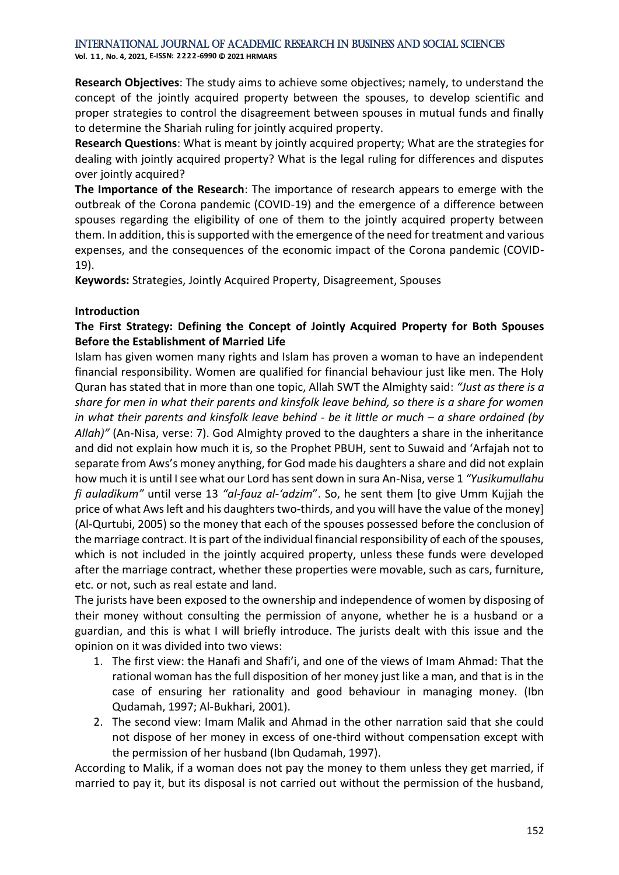# International Journal of Academic Research in Business and Social Sciences

**Vol. 1 1 , No. 4, 2021, E-ISSN: 2222-6990 © 2021 HRMARS**

**Research Objectives**: The study aims to achieve some objectives; namely, to understand the concept of the jointly acquired property between the spouses, to develop scientific and proper strategies to control the disagreement between spouses in mutual funds and finally to determine the Shariah ruling for jointly acquired property.

**Research Questions**: What is meant by jointly acquired property; What are the strategies for dealing with jointly acquired property? What is the legal ruling for differences and disputes over jointly acquired?

**The Importance of the Research**: The importance of research appears to emerge with the outbreak of the Corona pandemic (COVID-19) and the emergence of a difference between spouses regarding the eligibility of one of them to the jointly acquired property between them. In addition, this is supported with the emergence of the need for treatment and various expenses, and the consequences of the economic impact of the Corona pandemic (COVID-19).

**Keywords:** Strategies, Jointly Acquired Property, Disagreement, Spouses

## **Introduction**

# **The First Strategy: Defining the Concept of Jointly Acquired Property for Both Spouses Before the Establishment of Married Life**

Islam has given women many rights and Islam has proven a woman to have an independent financial responsibility. Women are qualified for financial behaviour just like men. The Holy Quran has stated that in more than one topic, Allah SWT the Almighty said: *"Just as there is a share for men in what their parents and kinsfolk leave behind, so there is a share for women in what their parents and kinsfolk leave behind - be it little or much – a share ordained (by Allah)"* (An-Nisa, verse: 7). God Almighty proved to the daughters a share in the inheritance and did not explain how much it is, so the Prophet PBUH, sent to Suwaid and 'Arfajah not to separate from Aws's money anything, for God made his daughters a share and did not explain how much it is until I see what our Lord has sent down in sura An-Nisa, verse 1 *"Yusikumullahu fi auladikum"* until verse 13 *"al-fauz al-'adzim*". So, he sent them [to give Umm Kujjah the price of what Aws left and his daughters two-thirds, and you will have the value of the money] (Al-Qurtubi, 2005) so the money that each of the spouses possessed before the conclusion of the marriage contract. It is part of the individual financial responsibility of each of the spouses, which is not included in the jointly acquired property, unless these funds were developed after the marriage contract, whether these properties were movable, such as cars, furniture, etc. or not, such as real estate and land.

The jurists have been exposed to the ownership and independence of women by disposing of their money without consulting the permission of anyone, whether he is a husband or a guardian, and this is what I will briefly introduce. The jurists dealt with this issue and the opinion on it was divided into two views:

- 1. The first view: the Hanafi and Shafi'i, and one of the views of Imam Ahmad: That the rational woman has the full disposition of her money just like a man, and that is in the case of ensuring her rationality and good behaviour in managing money. (Ibn Qudamah, 1997; Al-Bukhari, 2001).
- 2. The second view: Imam Malik and Ahmad in the other narration said that she could not dispose of her money in excess of one-third without compensation except with the permission of her husband (Ibn Qudamah, 1997).

According to Malik, if a woman does not pay the money to them unless they get married, if married to pay it, but its disposal is not carried out without the permission of the husband,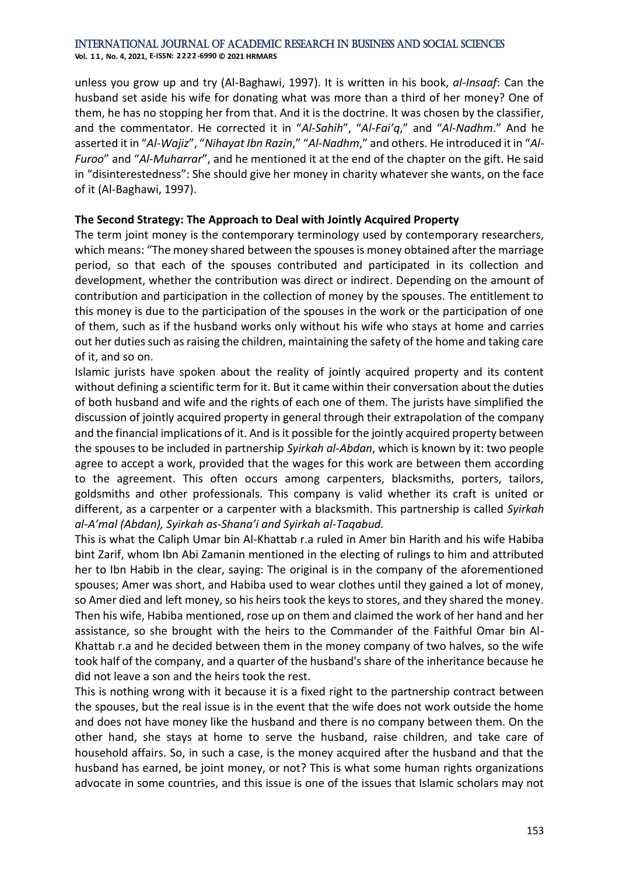#### International Journal of Academic Research in Business and Social Sciences **Vol. 1 1 , No. 4, 2021, E-ISSN: 2222-6990 © 2021 HRMARS**

unless you grow up and try (Al-Baghawi, 1997). It is written in his book, *al-Insaaf*: Can the husband set aside his wife for donating what was more than a third of her money? One of them, he has no stopping her from that. And it is the doctrine. It was chosen by the classifier, and the commentator. He corrected it in "*Al-Sahih*", "*Al-Fai'q*," and "*Al-Nadhm*." And he asserted it in "*Al-Wajiz*", "*Nihayat Ibn Razin*," "*Al-Nadhm*," and others. He introduced it in "*Al-Furoo*" and "*Al-Muharrar*", and he mentioned it at the end of the chapter on the gift. He said in "disinterestedness": She should give her money in charity whatever she wants, on the face of it (Al-Baghawi, 1997).

# **The Second Strategy: The Approach to Deal with Jointly Acquired Property**

The term joint money is the contemporary terminology used by contemporary researchers, which means: "The money shared between the spouses is money obtained after the marriage period, so that each of the spouses contributed and participated in its collection and development, whether the contribution was direct or indirect. Depending on the amount of contribution and participation in the collection of money by the spouses. The entitlement to this money is due to the participation of the spouses in the work or the participation of one of them, such as if the husband works only without his wife who stays at home and carries out her duties such as raising the children, maintaining the safety of the home and taking care of it, and so on.

Islamic jurists have spoken about the reality of jointly acquired property and its content without defining a scientific term for it. But it came within their conversation about the duties of both husband and wife and the rights of each one of them. The jurists have simplified the discussion of jointly acquired property in general through their extrapolation of the company and the financial implications of it. And is it possible for the jointly acquired property between the spouses to be included in partnership *Syirkah al-Abdan*, which is known by it: two people agree to accept a work, provided that the wages for this work are between them according to the agreement. This often occurs among carpenters, blacksmiths, porters, tailors, goldsmiths and other professionals. This company is valid whether its craft is united or different, as a carpenter or a carpenter with a blacksmith. This partnership is called *Syirkah al-A'mal (Abdan), Syirkah as-Shana'i and Syirkah al-Taqabud.*

This is what the Caliph Umar bin Al-Khattab r.a ruled in Amer bin Harith and his wife Habiba bint Zarif, whom Ibn Abi Zamanin mentioned in the electing of rulings to him and attributed her to Ibn Habib in the clear, saying: The original is in the company of the aforementioned spouses; Amer was short, and Habiba used to wear clothes until they gained a lot of money, so Amer died and left money, so his heirs took the keys to stores, and they shared the money. Then his wife, Habiba mentioned, rose up on them and claimed the work of her hand and her assistance, so she brought with the heirs to the Commander of the Faithful Omar bin Al-Khattab r.a and he decided between them in the money company of two halves, so the wife took half of the company, and a quarter of the husband's share of the inheritance because he did not leave a son and the heirs took the rest.

This is nothing wrong with it because it is a fixed right to the partnership contract between the spouses, but the real issue is in the event that the wife does not work outside the home and does not have money like the husband and there is no company between them. On the other hand, she stays at home to serve the husband, raise children, and take care of household affairs. So, in such a case, is the money acquired after the husband and that the husband has earned, be joint money, or not? This is what some human rights organizations advocate in some countries, and this issue is one of the issues that Islamic scholars may not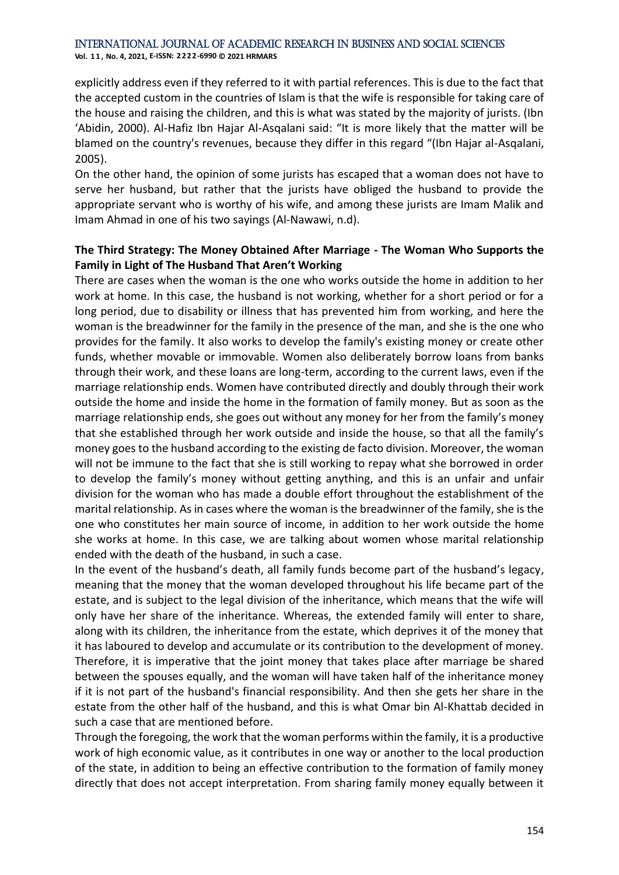#### International Journal of Academic Research in Business and Social Sciences

**Vol. 1 1 , No. 4, 2021, E-ISSN: 2222-6990 © 2021 HRMARS**

explicitly address even if they referred to it with partial references. This is due to the fact that the accepted custom in the countries of Islam is that the wife is responsible for taking care of the house and raising the children, and this is what was stated by the majority of jurists. (Ibn 'Abidin, 2000). Al-Hafiz Ibn Hajar Al-Asqalani said: "It is more likely that the matter will be blamed on the country's revenues, because they differ in this regard "(Ibn Hajar al-Asqalani, 2005).

On the other hand, the opinion of some jurists has escaped that a woman does not have to serve her husband, but rather that the jurists have obliged the husband to provide the appropriate servant who is worthy of his wife, and among these jurists are Imam Malik and Imam Ahmad in one of his two sayings (Al-Nawawi, n.d).

# **The Third Strategy: The Money Obtained After Marriage - The Woman Who Supports the Family in Light of The Husband That Aren't Working**

There are cases when the woman is the one who works outside the home in addition to her work at home. In this case, the husband is not working, whether for a short period or for a long period, due to disability or illness that has prevented him from working, and here the woman is the breadwinner for the family in the presence of the man, and she is the one who provides for the family. It also works to develop the family's existing money or create other funds, whether movable or immovable. Women also deliberately borrow loans from banks through their work, and these loans are long-term, according to the current laws, even if the marriage relationship ends. Women have contributed directly and doubly through their work outside the home and inside the home in the formation of family money. But as soon as the marriage relationship ends, she goes out without any money for her from the family's money that she established through her work outside and inside the house, so that all the family's money goes to the husband according to the existing de facto division. Moreover, the woman will not be immune to the fact that she is still working to repay what she borrowed in order to develop the family's money without getting anything, and this is an unfair and unfair division for the woman who has made a double effort throughout the establishment of the marital relationship. As in cases where the woman is the breadwinner of the family, she is the one who constitutes her main source of income, in addition to her work outside the home she works at home. In this case, we are talking about women whose marital relationship ended with the death of the husband, in such a case.

In the event of the husband's death, all family funds become part of the husband's legacy, meaning that the money that the woman developed throughout his life became part of the estate, and is subject to the legal division of the inheritance, which means that the wife will only have her share of the inheritance. Whereas, the extended family will enter to share, along with its children, the inheritance from the estate, which deprives it of the money that it has laboured to develop and accumulate or its contribution to the development of money. Therefore, it is imperative that the joint money that takes place after marriage be shared between the spouses equally, and the woman will have taken half of the inheritance money if it is not part of the husband's financial responsibility. And then she gets her share in the estate from the other half of the husband, and this is what Omar bin Al-Khattab decided in such a case that are mentioned before.

Through the foregoing, the work that the woman performs within the family, it is a productive work of high economic value, as it contributes in one way or another to the local production of the state, in addition to being an effective contribution to the formation of family money directly that does not accept interpretation. From sharing family money equally between it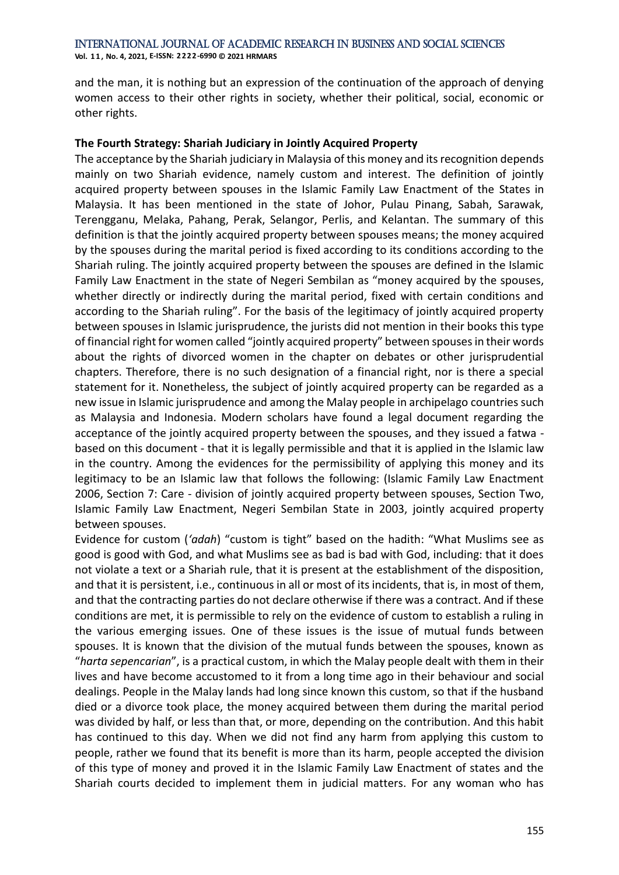**Vol. 1 1 , No. 4, 2021, E-ISSN: 2222-6990 © 2021 HRMARS**

and the man, it is nothing but an expression of the continuation of the approach of denying women access to their other rights in society, whether their political, social, economic or other rights.

### **The Fourth Strategy: Shariah Judiciary in Jointly Acquired Property**

The acceptance by the Shariah judiciary in Malaysia of this money and its recognition depends mainly on two Shariah evidence, namely custom and interest. The definition of jointly acquired property between spouses in the Islamic Family Law Enactment of the States in Malaysia. It has been mentioned in the state of Johor, Pulau Pinang, Sabah, Sarawak, Terengganu, Melaka, Pahang, Perak, Selangor, Perlis, and Kelantan. The summary of this definition is that the jointly acquired property between spouses means; the money acquired by the spouses during the marital period is fixed according to its conditions according to the Shariah ruling. The jointly acquired property between the spouses are defined in the Islamic Family Law Enactment in the state of Negeri Sembilan as "money acquired by the spouses, whether directly or indirectly during the marital period, fixed with certain conditions and according to the Shariah ruling". For the basis of the legitimacy of jointly acquired property between spouses in Islamic jurisprudence, the jurists did not mention in their books this type of financial right for women called "jointly acquired property" between spouses in their words about the rights of divorced women in the chapter on debates or other jurisprudential chapters. Therefore, there is no such designation of a financial right, nor is there a special statement for it. Nonetheless, the subject of jointly acquired property can be regarded as a new issue in Islamic jurisprudence and among the Malay people in archipelago countries such as Malaysia and Indonesia. Modern scholars have found a legal document regarding the acceptance of the jointly acquired property between the spouses, and they issued a fatwa based on this document - that it is legally permissible and that it is applied in the Islamic law in the country. Among the evidences for the permissibility of applying this money and its legitimacy to be an Islamic law that follows the following: (Islamic Family Law Enactment 2006, Section 7: Care - division of jointly acquired property between spouses, Section Two, Islamic Family Law Enactment, Negeri Sembilan State in 2003, jointly acquired property between spouses.

Evidence for custom (*'adah*) "custom is tight" based on the hadith: "What Muslims see as good is good with God, and what Muslims see as bad is bad with God, including: that it does not violate a text or a Shariah rule, that it is present at the establishment of the disposition, and that it is persistent, i.e., continuous in all or most of its incidents, that is, in most of them, and that the contracting parties do not declare otherwise if there was a contract. And if these conditions are met, it is permissible to rely on the evidence of custom to establish a ruling in the various emerging issues. One of these issues is the issue of mutual funds between spouses. It is known that the division of the mutual funds between the spouses, known as "*harta sepencarian*", is a practical custom, in which the Malay people dealt with them in their lives and have become accustomed to it from a long time ago in their behaviour and social dealings. People in the Malay lands had long since known this custom, so that if the husband died or a divorce took place, the money acquired between them during the marital period was divided by half, or less than that, or more, depending on the contribution. And this habit has continued to this day. When we did not find any harm from applying this custom to people, rather we found that its benefit is more than its harm, people accepted the division of this type of money and proved it in the Islamic Family Law Enactment of states and the Shariah courts decided to implement them in judicial matters. For any woman who has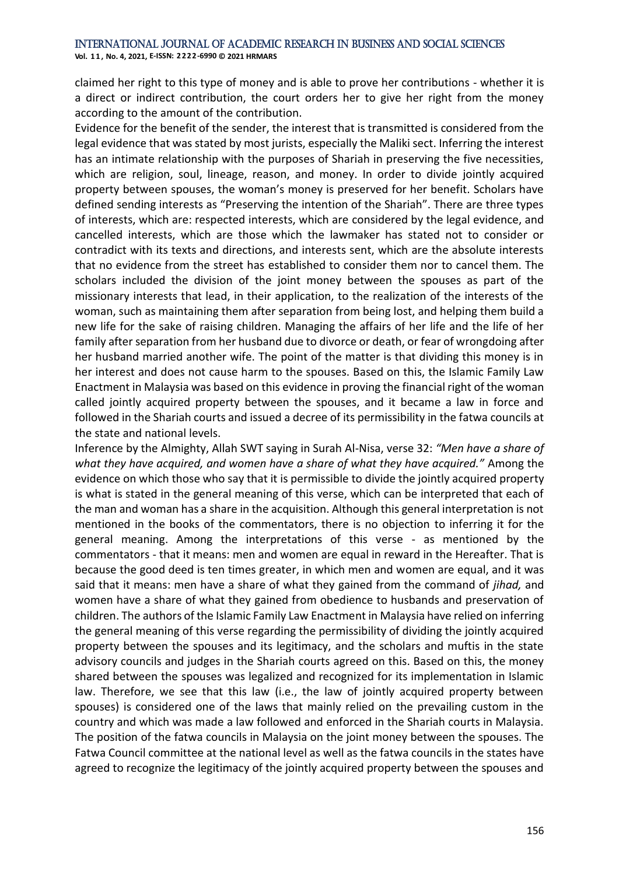#### International Journal of Academic Research in Business and Social Sciences

**Vol. 1 1 , No. 4, 2021, E-ISSN: 2222-6990 © 2021 HRMARS**

claimed her right to this type of money and is able to prove her contributions - whether it is a direct or indirect contribution, the court orders her to give her right from the money according to the amount of the contribution.

Evidence for the benefit of the sender, the interest that is transmitted is considered from the legal evidence that was stated by most jurists, especially the Maliki sect. Inferring the interest has an intimate relationship with the purposes of Shariah in preserving the five necessities, which are religion, soul, lineage, reason, and money. In order to divide jointly acquired property between spouses, the woman's money is preserved for her benefit. Scholars have defined sending interests as "Preserving the intention of the Shariah". There are three types of interests, which are: respected interests, which are considered by the legal evidence, and cancelled interests, which are those which the lawmaker has stated not to consider or contradict with its texts and directions, and interests sent, which are the absolute interests that no evidence from the street has established to consider them nor to cancel them. The scholars included the division of the joint money between the spouses as part of the missionary interests that lead, in their application, to the realization of the interests of the woman, such as maintaining them after separation from being lost, and helping them build a new life for the sake of raising children. Managing the affairs of her life and the life of her family after separation from her husband due to divorce or death, or fear of wrongdoing after her husband married another wife. The point of the matter is that dividing this money is in her interest and does not cause harm to the spouses. Based on this, the Islamic Family Law Enactment in Malaysia was based on this evidence in proving the financial right of the woman called jointly acquired property between the spouses, and it became a law in force and followed in the Shariah courts and issued a decree of its permissibility in the fatwa councils at the state and national levels.

Inference by the Almighty, Allah SWT saying in Surah Al-Nisa, verse 32: *"Men have a share of what they have acquired, and women have a share of what they have acquired."* Among the evidence on which those who say that it is permissible to divide the jointly acquired property is what is stated in the general meaning of this verse, which can be interpreted that each of the man and woman has a share in the acquisition. Although this general interpretation is not mentioned in the books of the commentators, there is no objection to inferring it for the general meaning. Among the interpretations of this verse - as mentioned by the commentators - that it means: men and women are equal in reward in the Hereafter. That is because the good deed is ten times greater, in which men and women are equal, and it was said that it means: men have a share of what they gained from the command of *jihad,* and women have a share of what they gained from obedience to husbands and preservation of children. The authors of the Islamic Family Law Enactment in Malaysia have relied on inferring the general meaning of this verse regarding the permissibility of dividing the jointly acquired property between the spouses and its legitimacy, and the scholars and muftis in the state advisory councils and judges in the Shariah courts agreed on this. Based on this, the money shared between the spouses was legalized and recognized for its implementation in Islamic law. Therefore, we see that this law (i.e., the law of jointly acquired property between spouses) is considered one of the laws that mainly relied on the prevailing custom in the country and which was made a law followed and enforced in the Shariah courts in Malaysia. The position of the fatwa councils in Malaysia on the joint money between the spouses. The Fatwa Council committee at the national level as well as the fatwa councils in the states have agreed to recognize the legitimacy of the jointly acquired property between the spouses and